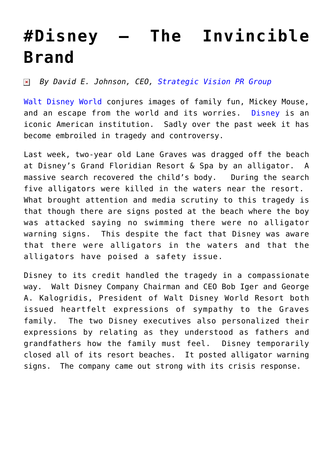## **[#Disney – The Invincible](https://www.commpro.biz/disney-the-invincible-brand/) [Brand](https://www.commpro.biz/disney-the-invincible-brand/)**

*By David E. Johnson, CEO, [Strategic Vision PR Group](https://www.strategicvisionpr.com/)*  $\pmb{\times}$ 

[Walt Disney World](https://disneyworld.disney.go.com/) conjures images of family fun, Mickey Mouse, and an escape from the world and its worries. [Disney](https://www.disney.com/) is an iconic American institution. Sadly over the past week it has become embroiled in tragedy and controversy.

Last week, two-year old Lane Graves was dragged off the beach at Disney's Grand Floridian Resort & Spa by an alligator. A massive search recovered the child's body. During the search five alligators were killed in the waters near the resort. What brought attention and media scrutiny to this tragedy is that though there are signs posted at the beach where the boy was attacked saying no swimming there were no alligator warning signs. This despite the fact that Disney was aware that there were alligators in the waters and that the alligators have poised a safety issue.

Disney to its credit handled the tragedy in a compassionate way. Walt Disney Company Chairman and CEO Bob Iger and George A. Kalogridis, President of Walt Disney World Resort both issued heartfelt expressions of sympathy to the Graves family. The two Disney executives also personalized their expressions by relating as they understood as fathers and grandfathers how the family must feel. Disney temporarily closed all of its resort beaches. It posted alligator warning signs. The company came out strong with its crisis response.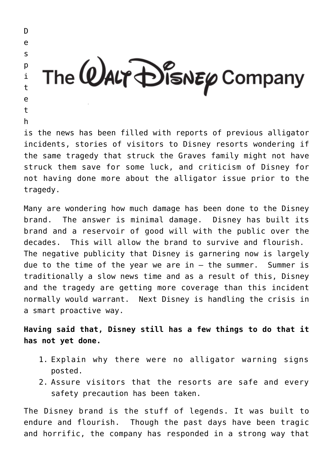D e s The  $@$ ALT  $\bigoplus_{i=1}^{\infty}$  SNEP Company  $\mathsf{D}$ i t e t h is the news has been filled with reports of previous alligator

incidents, stories of visitors to Disney resorts wondering if the same tragedy that struck the Graves family might not have struck them save for some luck, and criticism of Disney for not having done more about the alligator issue prior to the tragedy.

Many are wondering how much damage has been done to the Disney brand. The answer is minimal damage. Disney has built its brand and a reservoir of good will with the public over the decades. This will allow the brand to survive and flourish. The negative publicity that Disney is garnering now is largely due to the time of the year we are in  $-$  the summer. Summer is traditionally a slow news time and as a result of this, Disney and the tragedy are getting more coverage than this incident normally would warrant. Next Disney is handling the crisis in a smart proactive way.

**Having said that, Disney still has a few things to do that it has not yet done.**

- 1. Explain why there were no alligator warning signs posted.
- 2. Assure visitors that the resorts are safe and every safety precaution has been taken.

The Disney brand is the stuff of legends. It was built to endure and flourish. Though the past days have been tragic and horrific, the company has responded in a strong way that